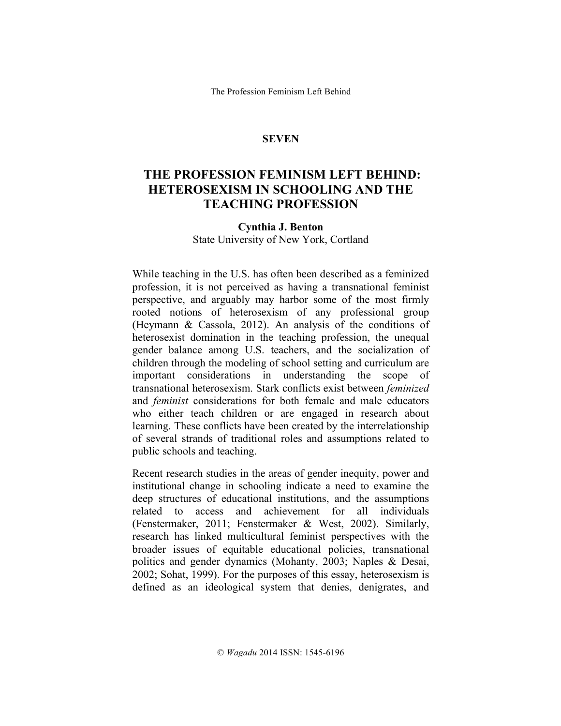The Profession Feminism Left Behind

### **SEVEN**

# **THE PROFESSION FEMINISM LEFT BEHIND: HETEROSEXISM IN SCHOOLING AND THE TEACHING PROFESSION**

#### **Cynthia J. Benton**

State University of New York, Cortland

While teaching in the U.S. has often been described as a feminized profession, it is not perceived as having a transnational feminist perspective, and arguably may harbor some of the most firmly rooted notions of heterosexism of any professional group (Heymann & Cassola, 2012). An analysis of the conditions of heterosexist domination in the teaching profession, the unequal gender balance among U.S. teachers, and the socialization of children through the modeling of school setting and curriculum are important considerations in understanding the scope of transnational heterosexism. Stark conflicts exist between *feminized* and *feminist* considerations for both female and male educators who either teach children or are engaged in research about learning. These conflicts have been created by the interrelationship of several strands of traditional roles and assumptions related to public schools and teaching.

Recent research studies in the areas of gender inequity, power and institutional change in schooling indicate a need to examine the deep structures of educational institutions, and the assumptions related to access and achievement for all individuals (Fenstermaker, 2011; Fenstermaker & West, 2002). Similarly, research has linked multicultural feminist perspectives with the broader issues of equitable educational policies, transnational politics and gender dynamics (Mohanty, 2003; Naples & Desai, 2002; Sohat, 1999). For the purposes of this essay, heterosexism is defined as an ideological system that denies, denigrates, and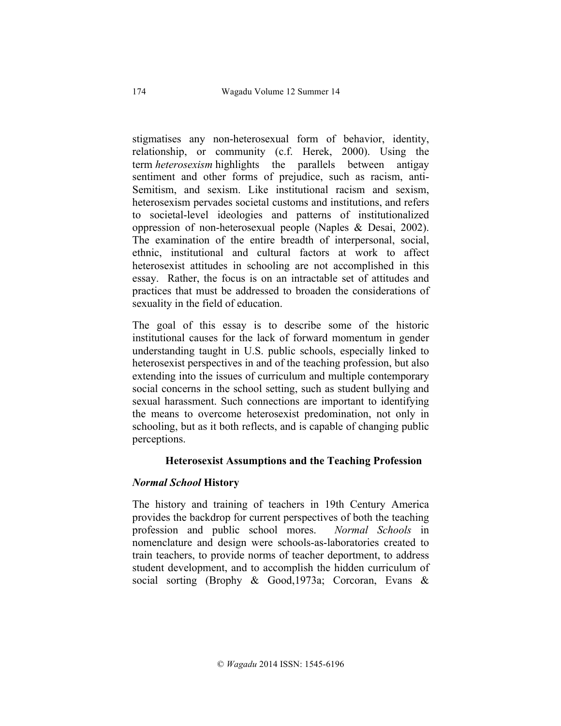stigmatises any non-heterosexual form of behavior, identity, relationship, or community (c.f. Herek, 2000). Using the term *heterosexism* highlights the parallels between antigay sentiment and other forms of prejudice, such as racism, anti-Semitism, and sexism. Like institutional racism and sexism, heterosexism pervades societal customs and institutions, and refers to societal-level ideologies and patterns of institutionalized oppression of non-heterosexual people (Naples & Desai, 2002). The examination of the entire breadth of interpersonal, social, ethnic, institutional and cultural factors at work to affect heterosexist attitudes in schooling are not accomplished in this essay. Rather, the focus is on an intractable set of attitudes and practices that must be addressed to broaden the considerations of sexuality in the field of education.

The goal of this essay is to describe some of the historic institutional causes for the lack of forward momentum in gender understanding taught in U.S. public schools, especially linked to heterosexist perspectives in and of the teaching profession, but also extending into the issues of curriculum and multiple contemporary social concerns in the school setting, such as student bullying and sexual harassment. Such connections are important to identifying the means to overcome heterosexist predomination, not only in schooling, but as it both reflects, and is capable of changing public perceptions.

# **Heterosexist Assumptions and the Teaching Profession**

# *Normal School* **History**

The history and training of teachers in 19th Century America provides the backdrop for current perspectives of both the teaching profession and public school mores. *Normal Schools* in nomenclature and design were schools-as-laboratories created to train teachers, to provide norms of teacher deportment, to address student development, and to accomplish the hidden curriculum of social sorting (Brophy & Good,1973a; Corcoran, Evans &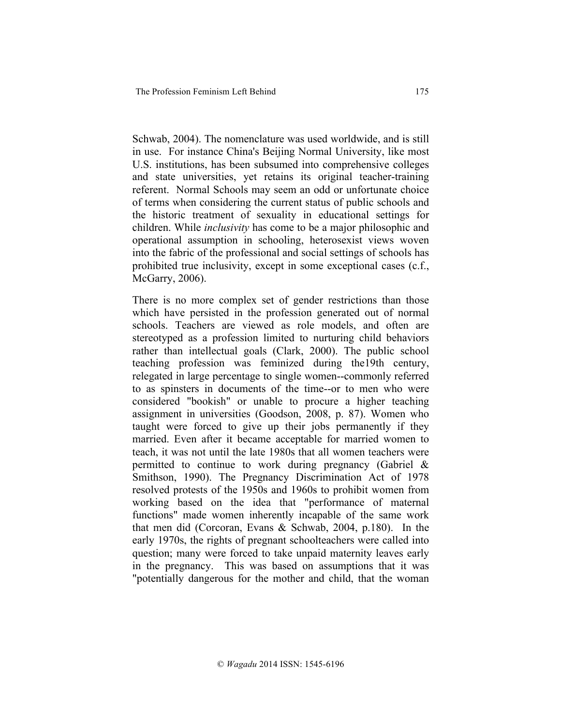Schwab, 2004). The nomenclature was used worldwide, and is still in use. For instance China's Beijing Normal University, like most U.S. institutions, has been subsumed into comprehensive colleges and state universities, yet retains its original teacher-training referent. Normal Schools may seem an odd or unfortunate choice of terms when considering the current status of public schools and the historic treatment of sexuality in educational settings for children. While *inclusivity* has come to be a major philosophic and operational assumption in schooling, heterosexist views woven into the fabric of the professional and social settings of schools has prohibited true inclusivity, except in some exceptional cases (c.f., McGarry, 2006).

There is no more complex set of gender restrictions than those which have persisted in the profession generated out of normal schools. Teachers are viewed as role models, and often are stereotyped as a profession limited to nurturing child behaviors rather than intellectual goals (Clark, 2000). The public school teaching profession was feminized during the19th century, relegated in large percentage to single women--commonly referred to as spinsters in documents of the time--or to men who were considered "bookish" or unable to procure a higher teaching assignment in universities (Goodson, 2008, p. 87). Women who taught were forced to give up their jobs permanently if they married. Even after it became acceptable for married women to teach, it was not until the late 1980s that all women teachers were permitted to continue to work during pregnancy (Gabriel & Smithson, 1990). The Pregnancy Discrimination Act of 1978 resolved protests of the 1950s and 1960s to prohibit women from working based on the idea that "performance of maternal functions" made women inherently incapable of the same work that men did (Corcoran, Evans & Schwab, 2004, p.180). In the early 1970s, the rights of pregnant schoolteachers were called into question; many were forced to take unpaid maternity leaves early in the pregnancy. This was based on assumptions that it was "potentially dangerous for the mother and child, that the woman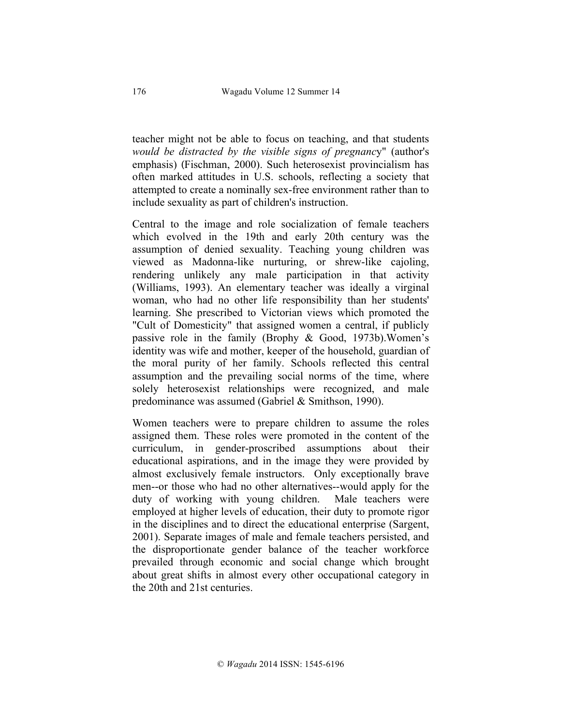teacher might not be able to focus on teaching, and that students *would be distracted by the visible signs of pregnanc*y" (author's emphasis) (Fischman, 2000). Such heterosexist provincialism has often marked attitudes in U.S. schools, reflecting a society that attempted to create a nominally sex-free environment rather than to include sexuality as part of children's instruction.

Central to the image and role socialization of female teachers which evolved in the 19th and early 20th century was the assumption of denied sexuality. Teaching young children was viewed as Madonna-like nurturing, or shrew-like cajoling, rendering unlikely any male participation in that activity (Williams, 1993). An elementary teacher was ideally a virginal woman, who had no other life responsibility than her students' learning. She prescribed to Victorian views which promoted the "Cult of Domesticity" that assigned women a central, if publicly passive role in the family (Brophy & Good, 1973b).Women's identity was wife and mother, keeper of the household, guardian of the moral purity of her family. Schools reflected this central assumption and the prevailing social norms of the time, where solely heterosexist relationships were recognized, and male predominance was assumed (Gabriel & Smithson, 1990).

Women teachers were to prepare children to assume the roles assigned them. These roles were promoted in the content of the curriculum, in gender-proscribed assumptions about their educational aspirations, and in the image they were provided by almost exclusively female instructors. Only exceptionally brave men--or those who had no other alternatives--would apply for the duty of working with young children. Male teachers were employed at higher levels of education, their duty to promote rigor in the disciplines and to direct the educational enterprise (Sargent, 2001). Separate images of male and female teachers persisted, and the disproportionate gender balance of the teacher workforce prevailed through economic and social change which brought about great shifts in almost every other occupational category in the 20th and 21st centuries.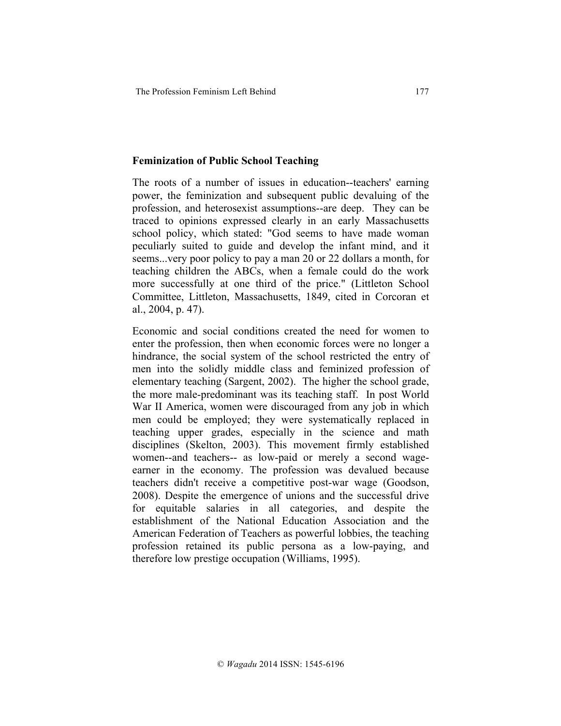#### **Feminization of Public School Teaching**

The roots of a number of issues in education--teachers' earning power, the feminization and subsequent public devaluing of the profession, and heterosexist assumptions--are deep. They can be traced to opinions expressed clearly in an early Massachusetts school policy, which stated: "God seems to have made woman peculiarly suited to guide and develop the infant mind, and it seems...very poor policy to pay a man 20 or 22 dollars a month, for teaching children the ABCs, when a female could do the work more successfully at one third of the price." (Littleton School Committee, Littleton, Massachusetts, 1849, cited in Corcoran et al., 2004, p. 47).

Economic and social conditions created the need for women to enter the profession, then when economic forces were no longer a hindrance, the social system of the school restricted the entry of men into the solidly middle class and feminized profession of elementary teaching (Sargent, 2002). The higher the school grade, the more male-predominant was its teaching staff. In post World War II America, women were discouraged from any job in which men could be employed; they were systematically replaced in teaching upper grades, especially in the science and math disciplines (Skelton, 2003). This movement firmly established women--and teachers-- as low-paid or merely a second wageearner in the economy. The profession was devalued because teachers didn't receive a competitive post-war wage (Goodson, 2008). Despite the emergence of unions and the successful drive for equitable salaries in all categories, and despite the establishment of the National Education Association and the American Federation of Teachers as powerful lobbies, the teaching profession retained its public persona as a low-paying, and therefore low prestige occupation (Williams, 1995).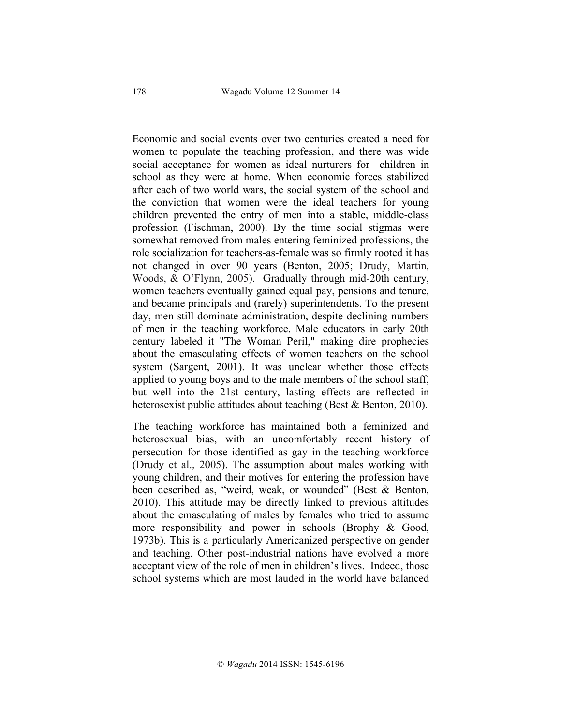Economic and social events over two centuries created a need for women to populate the teaching profession, and there was wide social acceptance for women as ideal nurturers for children in school as they were at home. When economic forces stabilized after each of two world wars, the social system of the school and the conviction that women were the ideal teachers for young children prevented the entry of men into a stable, middle-class profession (Fischman, 2000). By the time social stigmas were somewhat removed from males entering feminized professions, the role socialization for teachers-as-female was so firmly rooted it has not changed in over 90 years (Benton, 2005; Drudy, Martin, Woods, & O'Flynn, 2005). Gradually through mid-20th century, women teachers eventually gained equal pay, pensions and tenure, and became principals and (rarely) superintendents. To the present day, men still dominate administration, despite declining numbers of men in the teaching workforce. Male educators in early 20th century labeled it "The Woman Peril," making dire prophecies about the emasculating effects of women teachers on the school system (Sargent, 2001). It was unclear whether those effects applied to young boys and to the male members of the school staff, but well into the 21st century, lasting effects are reflected in heterosexist public attitudes about teaching (Best & Benton, 2010).

The teaching workforce has maintained both a feminized and heterosexual bias, with an uncomfortably recent history of persecution for those identified as gay in the teaching workforce (Drudy et al., 2005). The assumption about males working with young children, and their motives for entering the profession have been described as, "weird, weak, or wounded" (Best & Benton, 2010). This attitude may be directly linked to previous attitudes about the emasculating of males by females who tried to assume more responsibility and power in schools (Brophy & Good, 1973b). This is a particularly Americanized perspective on gender and teaching. Other post-industrial nations have evolved a more acceptant view of the role of men in children's lives. Indeed, those school systems which are most lauded in the world have balanced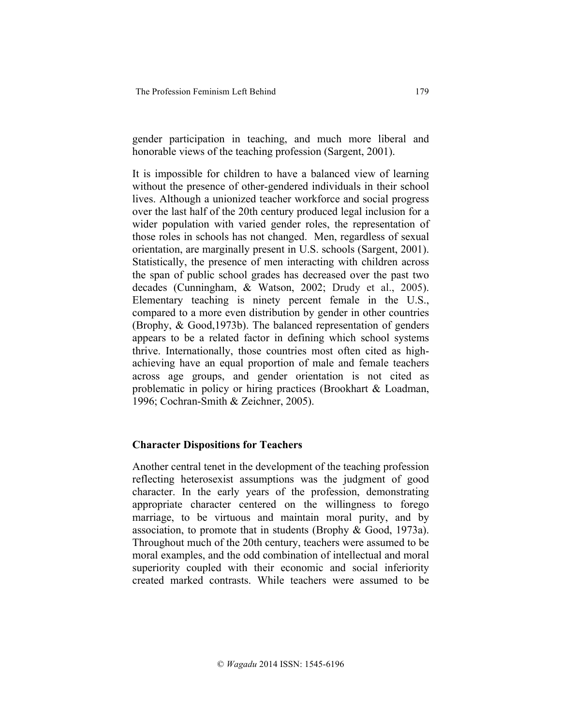gender participation in teaching, and much more liberal and honorable views of the teaching profession (Sargent, 2001).

It is impossible for children to have a balanced view of learning without the presence of other-gendered individuals in their school lives. Although a unionized teacher workforce and social progress over the last half of the 20th century produced legal inclusion for a wider population with varied gender roles, the representation of those roles in schools has not changed. Men, regardless of sexual orientation, are marginally present in U.S. schools (Sargent, 2001). Statistically, the presence of men interacting with children across the span of public school grades has decreased over the past two decades (Cunningham, & Watson, 2002; Drudy et al., 2005). Elementary teaching is ninety percent female in the U.S., compared to a more even distribution by gender in other countries (Brophy, & Good,1973b). The balanced representation of genders appears to be a related factor in defining which school systems thrive. Internationally, those countries most often cited as highachieving have an equal proportion of male and female teachers across age groups, and gender orientation is not cited as problematic in policy or hiring practices (Brookhart & Loadman, 1996; Cochran-Smith & Zeichner, 2005).

### **Character Dispositions for Teachers**

Another central tenet in the development of the teaching profession reflecting heterosexist assumptions was the judgment of good character. In the early years of the profession, demonstrating appropriate character centered on the willingness to forego marriage, to be virtuous and maintain moral purity, and by association, to promote that in students (Brophy & Good, 1973a). Throughout much of the 20th century, teachers were assumed to be moral examples, and the odd combination of intellectual and moral superiority coupled with their economic and social inferiority created marked contrasts. While teachers were assumed to be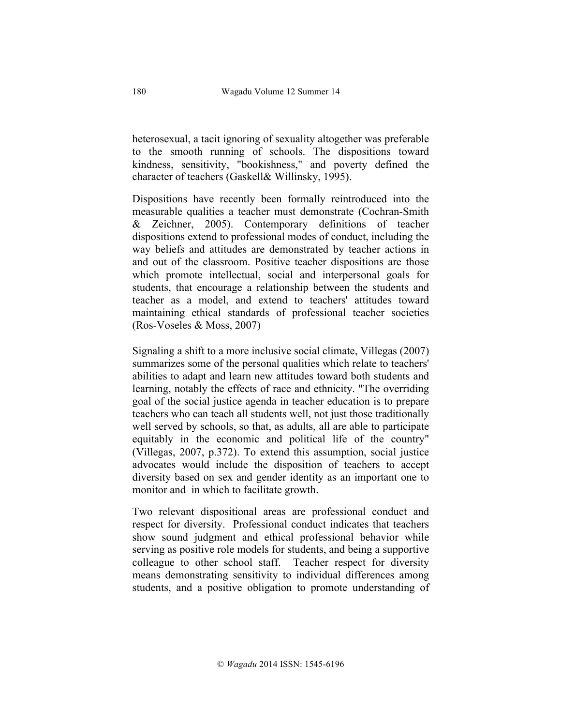heterosexual, a tacit ignoring of sexuality altogether was preferable to the smooth running of schools. The dispositions toward kindness, sensitivity, "bookishness," and poverty defined the character of teachers (Gaskell& Willinsky, 1995).

Dispositions have recently been formally reintroduced into the measurable qualities a teacher must demonstrate (Cochran-Smith & Zeichner, 2005). Contemporary definitions of teacher dispositions extend to professional modes of conduct, including the way beliefs and attitudes are demonstrated by teacher actions in and out of the classroom. Positive teacher dispositions are those which promote intellectual, social and interpersonal goals for students, that encourage a relationship between the students and teacher as a model, and extend to teachers' attitudes toward maintaining ethical standards of professional teacher societies (Ros-Voseles & Moss, 2007)

Signaling a shift to a more inclusive social climate, Villegas (2007) summarizes some of the personal qualities which relate to teachers' abilities to adapt and learn new attitudes toward both students and learning, notably the effects of race and ethnicity. "The overriding goal of the social justice agenda in teacher education is to prepare teachers who can teach all students well, not just those traditionally well served by schools, so that, as adults, all are able to participate equitably in the economic and political life of the country" (Villegas, 2007, p.372). To extend this assumption, social justice advocates would include the disposition of teachers to accept diversity based on sex and gender identity as an important one to monitor and in which to facilitate growth.

Two relevant dispositional areas are professional conduct and respect for diversity. Professional conduct indicates that teachers show sound judgment and ethical professional behavior while serving as positive role models for students, and being a supportive colleague to other school staff. Teacher respect for diversity means demonstrating sensitivity to individual differences among students, and a positive obligation to promote understanding of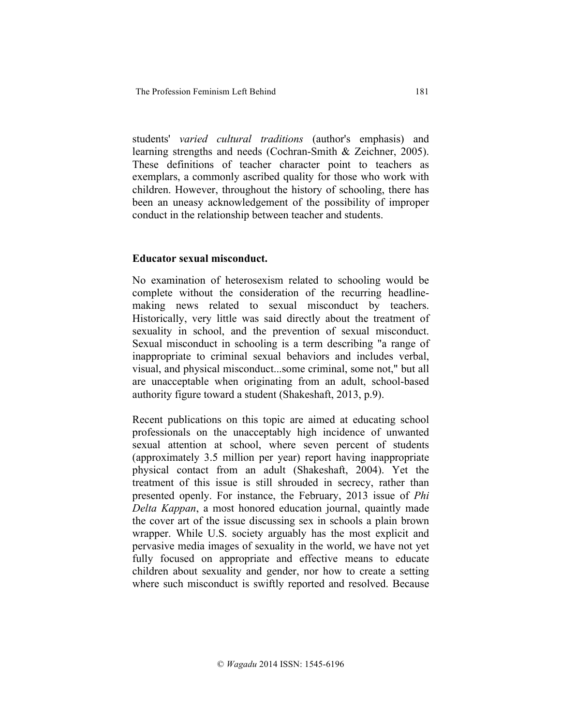students' *varied cultural traditions* (author's emphasis) and learning strengths and needs (Cochran-Smith & Zeichner, 2005). These definitions of teacher character point to teachers as exemplars, a commonly ascribed quality for those who work with children. However, throughout the history of schooling, there has been an uneasy acknowledgement of the possibility of improper conduct in the relationship between teacher and students.

### **Educator sexual misconduct.**

No examination of heterosexism related to schooling would be complete without the consideration of the recurring headlinemaking news related to sexual misconduct by teachers. Historically, very little was said directly about the treatment of sexuality in school, and the prevention of sexual misconduct. Sexual misconduct in schooling is a term describing "a range of inappropriate to criminal sexual behaviors and includes verbal, visual, and physical misconduct...some criminal, some not," but all are unacceptable when originating from an adult, school-based authority figure toward a student (Shakeshaft, 2013, p.9).

Recent publications on this topic are aimed at educating school professionals on the unacceptably high incidence of unwanted sexual attention at school, where seven percent of students (approximately 3.5 million per year) report having inappropriate physical contact from an adult (Shakeshaft, 2004). Yet the treatment of this issue is still shrouded in secrecy, rather than presented openly. For instance, the February, 2013 issue of *Phi Delta Kappan*, a most honored education journal, quaintly made the cover art of the issue discussing sex in schools a plain brown wrapper. While U.S. society arguably has the most explicit and pervasive media images of sexuality in the world, we have not yet fully focused on appropriate and effective means to educate children about sexuality and gender, nor how to create a setting where such misconduct is swiftly reported and resolved. Because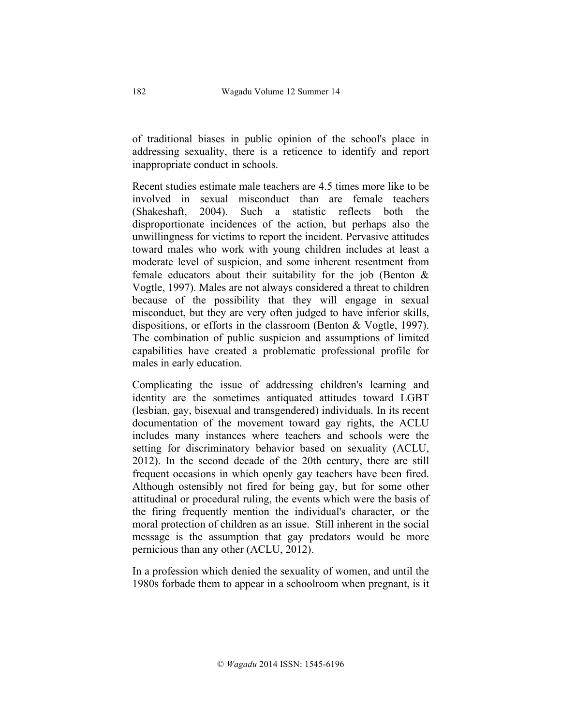of traditional biases in public opinion of the school's place in addressing sexuality, there is a reticence to identify and report inappropriate conduct in schools.

Recent studies estimate male teachers are 4.5 times more like to be involved in sexual misconduct than are female teachers (Shakeshaft, 2004). Such a statistic reflects both the disproportionate incidences of the action, but perhaps also the unwillingness for victims to report the incident. Pervasive attitudes toward males who work with young children includes at least a moderate level of suspicion, and some inherent resentment from female educators about their suitability for the job (Benton  $\&$ Vogtle, 1997). Males are not always considered a threat to children because of the possibility that they will engage in sexual misconduct, but they are very often judged to have inferior skills, dispositions, or efforts in the classroom (Benton & Vogtle, 1997). The combination of public suspicion and assumptions of limited capabilities have created a problematic professional profile for males in early education.

Complicating the issue of addressing children's learning and identity are the sometimes antiquated attitudes toward LGBT (lesbian, gay, bisexual and transgendered) individuals. In its recent documentation of the movement toward gay rights, the ACLU includes many instances where teachers and schools were the setting for discriminatory behavior based on sexuality (ACLU, 2012). In the second decade of the 20th century, there are still frequent occasions in which openly gay teachers have been fired. Although ostensibly not fired for being gay, but for some other attitudinal or procedural ruling, the events which were the basis of the firing frequently mention the individual's character, or the moral protection of children as an issue. Still inherent in the social message is the assumption that gay predators would be more pernicious than any other (ACLU, 2012).

In a profession which denied the sexuality of women, and until the 1980s forbade them to appear in a schoolroom when pregnant, is it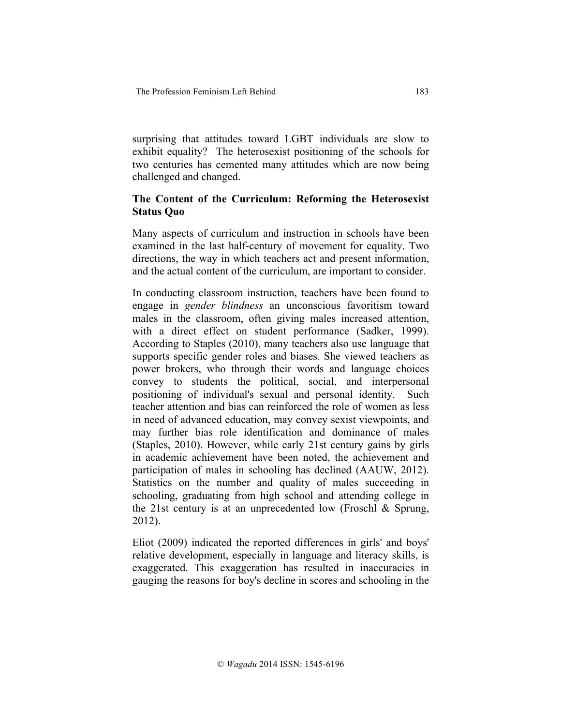surprising that attitudes toward LGBT individuals are slow to exhibit equality? The heterosexist positioning of the schools for two centuries has cemented many attitudes which are now being challenged and changed.

# **The Content of the Curriculum: Reforming the Heterosexist Status Quo**

Many aspects of curriculum and instruction in schools have been examined in the last half-century of movement for equality. Two directions, the way in which teachers act and present information, and the actual content of the curriculum, are important to consider.

In conducting classroom instruction, teachers have been found to engage in *gender blindness* an unconscious favoritism toward males in the classroom, often giving males increased attention, with a direct effect on student performance (Sadker, 1999). According to Staples (2010), many teachers also use language that supports specific gender roles and biases. She viewed teachers as power brokers, who through their words and language choices convey to students the political, social, and interpersonal positioning of individual's sexual and personal identity. Such teacher attention and bias can reinforced the role of women as less in need of advanced education, may convey sexist viewpoints, and may further bias role identification and dominance of males (Staples, 2010). However, while early 21st century gains by girls in academic achievement have been noted, the achievement and participation of males in schooling has declined (AAUW, 2012). Statistics on the number and quality of males succeeding in schooling, graduating from high school and attending college in the 21st century is at an unprecedented low (Froschl  $\&$  Sprung, 2012).

Eliot (2009) indicated the reported differences in girls' and boys' relative development, especially in language and literacy skills, is exaggerated. This exaggeration has resulted in inaccuracies in gauging the reasons for boy's decline in scores and schooling in the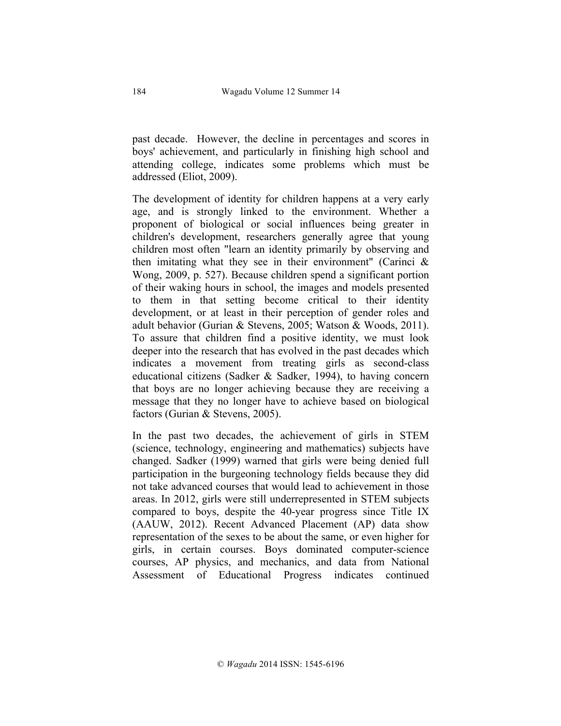past decade. However, the decline in percentages and scores in boys' achievement, and particularly in finishing high school and attending college, indicates some problems which must be addressed (Eliot, 2009).

The development of identity for children happens at a very early age, and is strongly linked to the environment. Whether a proponent of biological or social influences being greater in children's development, researchers generally agree that young children most often "learn an identity primarily by observing and then imitating what they see in their environment" (Carinci  $\&$ Wong, 2009, p. 527). Because children spend a significant portion of their waking hours in school, the images and models presented to them in that setting become critical to their identity development, or at least in their perception of gender roles and adult behavior (Gurian & Stevens, 2005; Watson & Woods, 2011). To assure that children find a positive identity, we must look deeper into the research that has evolved in the past decades which indicates a movement from treating girls as second-class educational citizens (Sadker & Sadker, 1994), to having concern that boys are no longer achieving because they are receiving a message that they no longer have to achieve based on biological factors (Gurian & Stevens, 2005).

In the past two decades, the achievement of girls in STEM (science, technology, engineering and mathematics) subjects have changed. Sadker (1999) warned that girls were being denied full participation in the burgeoning technology fields because they did not take advanced courses that would lead to achievement in those areas. In 2012, girls were still underrepresented in STEM subjects compared to boys, despite the 40-year progress since Title IX (AAUW, 2012). Recent Advanced Placement (AP) data show representation of the sexes to be about the same, or even higher for girls, in certain courses. Boys dominated computer-science courses, AP physics, and mechanics, and data from National Assessment of Educational Progress indicates continued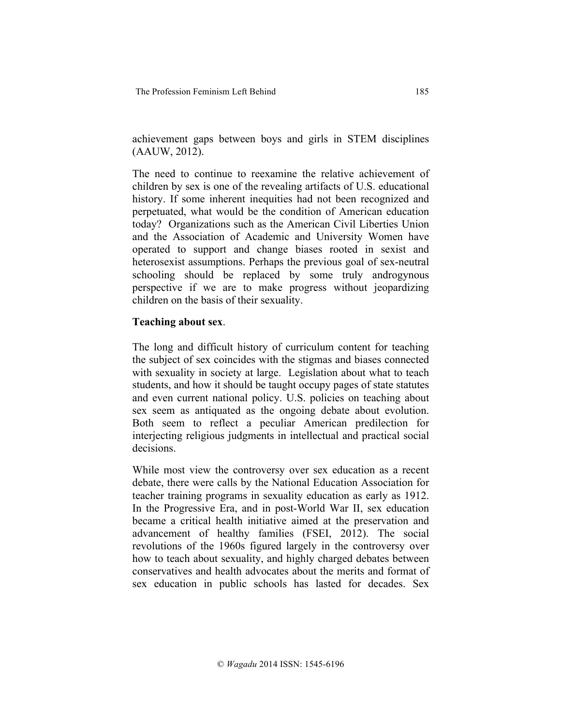achievement gaps between boys and girls in STEM disciplines (AAUW, 2012).

The need to continue to reexamine the relative achievement of children by sex is one of the revealing artifacts of U.S. educational history. If some inherent inequities had not been recognized and perpetuated, what would be the condition of American education today? Organizations such as the American Civil Liberties Union and the Association of Academic and University Women have operated to support and change biases rooted in sexist and heterosexist assumptions. Perhaps the previous goal of sex-neutral schooling should be replaced by some truly androgynous perspective if we are to make progress without jeopardizing children on the basis of their sexuality.

### **Teaching about sex**.

The long and difficult history of curriculum content for teaching the subject of sex coincides with the stigmas and biases connected with sexuality in society at large. Legislation about what to teach students, and how it should be taught occupy pages of state statutes and even current national policy. U.S. policies on teaching about sex seem as antiquated as the ongoing debate about evolution. Both seem to reflect a peculiar American predilection for interjecting religious judgments in intellectual and practical social decisions.

While most view the controversy over sex education as a recent debate, there were calls by the National Education Association for teacher training programs in sexuality education as early as 1912. In the Progressive Era, and in post-World War II, sex education became a critical health initiative aimed at the preservation and advancement of healthy families (FSEI, 2012). The social revolutions of the 1960s figured largely in the controversy over how to teach about sexuality, and highly charged debates between conservatives and health advocates about the merits and format of sex education in public schools has lasted for decades. Sex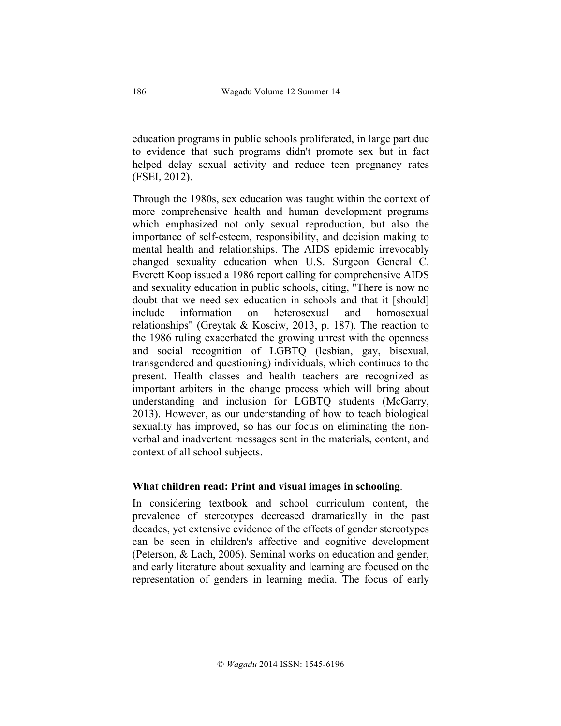education programs in public schools proliferated, in large part due to evidence that such programs didn't promote sex but in fact helped delay sexual activity and reduce teen pregnancy rates (FSEI, 2012).

Through the 1980s, sex education was taught within the context of more comprehensive health and human development programs which emphasized not only sexual reproduction, but also the importance of self-esteem, responsibility, and decision making to mental health and relationships. The AIDS epidemic irrevocably changed sexuality education when U.S. Surgeon General C. Everett Koop issued a 1986 report calling for comprehensive AIDS and sexuality education in public schools, citing, "There is now no doubt that we need sex education in schools and that it [should] include information on heterosexual and homosexual relationships" (Greytak & Kosciw, 2013, p. 187). The reaction to the 1986 ruling exacerbated the growing unrest with the openness and social recognition of LGBTQ (lesbian, gay, bisexual, transgendered and questioning) individuals, which continues to the present. Health classes and health teachers are recognized as important arbiters in the change process which will bring about understanding and inclusion for LGBTQ students (McGarry, 2013). However, as our understanding of how to teach biological sexuality has improved, so has our focus on eliminating the nonverbal and inadvertent messages sent in the materials, content, and context of all school subjects.

### **What children read: Print and visual images in schooling**.

In considering textbook and school curriculum content, the prevalence of stereotypes decreased dramatically in the past decades, yet extensive evidence of the effects of gender stereotypes can be seen in children's affective and cognitive development (Peterson, & Lach, 2006). Seminal works on education and gender, and early literature about sexuality and learning are focused on the representation of genders in learning media. The focus of early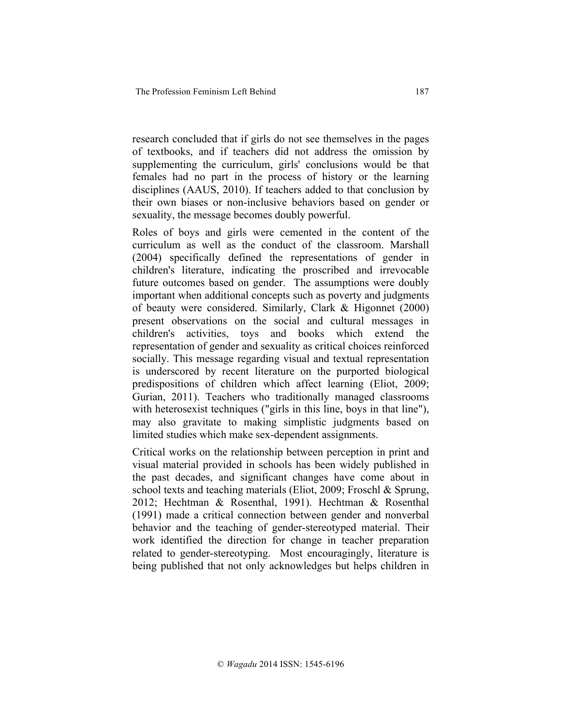research concluded that if girls do not see themselves in the pages of textbooks, and if teachers did not address the omission by supplementing the curriculum, girls' conclusions would be that females had no part in the process of history or the learning disciplines (AAUS, 2010). If teachers added to that conclusion by their own biases or non-inclusive behaviors based on gender or sexuality, the message becomes doubly powerful.

Roles of boys and girls were cemented in the content of the curriculum as well as the conduct of the classroom. Marshall (2004) specifically defined the representations of gender in children's literature, indicating the proscribed and irrevocable future outcomes based on gender. The assumptions were doubly important when additional concepts such as poverty and judgments of beauty were considered. Similarly, Clark & Higonnet (2000) present observations on the social and cultural messages in children's activities, toys and books which extend the representation of gender and sexuality as critical choices reinforced socially. This message regarding visual and textual representation is underscored by recent literature on the purported biological predispositions of children which affect learning (Eliot, 2009; Gurian, 2011). Teachers who traditionally managed classrooms with heterosexist techniques ("girls in this line, boys in that line"), may also gravitate to making simplistic judgments based on limited studies which make sex-dependent assignments.

Critical works on the relationship between perception in print and visual material provided in schools has been widely published in the past decades, and significant changes have come about in school texts and teaching materials (Eliot, 2009; Froschl & Sprung, 2012; Hechtman & Rosenthal, 1991). Hechtman & Rosenthal (1991) made a critical connection between gender and nonverbal behavior and the teaching of gender-stereotyped material. Their work identified the direction for change in teacher preparation related to gender-stereotyping. Most encouragingly, literature is being published that not only acknowledges but helps children in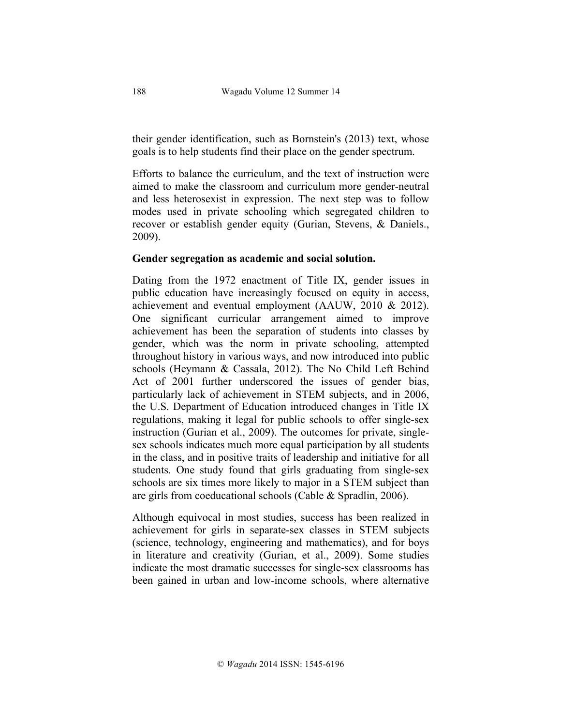their gender identification, such as Bornstein's (2013) text, whose goals is to help students find their place on the gender spectrum.

Efforts to balance the curriculum, and the text of instruction were aimed to make the classroom and curriculum more gender-neutral and less heterosexist in expression. The next step was to follow modes used in private schooling which segregated children to recover or establish gender equity (Gurian, Stevens, & Daniels., 2009).

### **Gender segregation as academic and social solution.**

Dating from the 1972 enactment of Title IX, gender issues in public education have increasingly focused on equity in access, achievement and eventual employment (AAUW, 2010 & 2012). One significant curricular arrangement aimed to improve achievement has been the separation of students into classes by gender, which was the norm in private schooling, attempted throughout history in various ways, and now introduced into public schools (Heymann & Cassala, 2012). The No Child Left Behind Act of 2001 further underscored the issues of gender bias, particularly lack of achievement in STEM subjects, and in 2006, the U.S. Department of Education introduced changes in Title IX regulations, making it legal for public schools to offer single-sex instruction (Gurian et al., 2009). The outcomes for private, singlesex schools indicates much more equal participation by all students in the class, and in positive traits of leadership and initiative for all students. One study found that girls graduating from single-sex schools are six times more likely to major in a STEM subject than are girls from coeducational schools (Cable & Spradlin, 2006).

Although equivocal in most studies, success has been realized in achievement for girls in separate-sex classes in STEM subjects (science, technology, engineering and mathematics), and for boys in literature and creativity (Gurian, et al., 2009). Some studies indicate the most dramatic successes for single-sex classrooms has been gained in urban and low-income schools, where alternative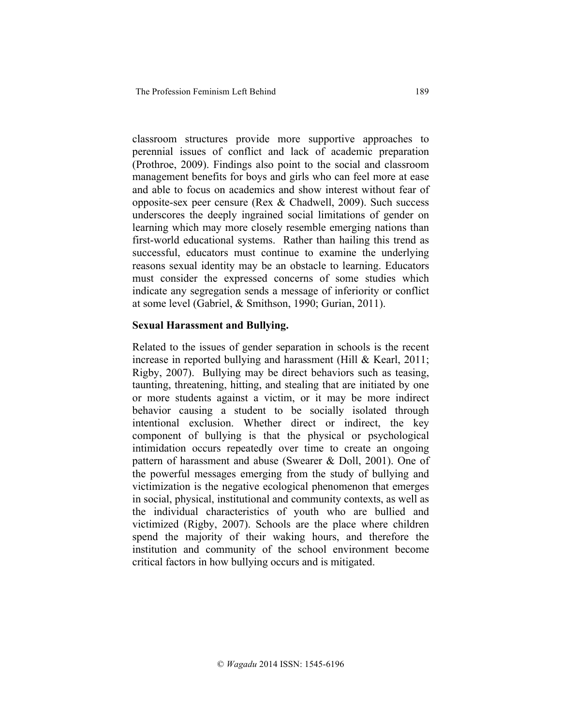classroom structures provide more supportive approaches to perennial issues of conflict and lack of academic preparation (Prothroe, 2009). Findings also point to the social and classroom management benefits for boys and girls who can feel more at ease and able to focus on academics and show interest without fear of opposite-sex peer censure (Rex & Chadwell, 2009). Such success underscores the deeply ingrained social limitations of gender on learning which may more closely resemble emerging nations than first-world educational systems. Rather than hailing this trend as successful, educators must continue to examine the underlying reasons sexual identity may be an obstacle to learning. Educators must consider the expressed concerns of some studies which indicate any segregation sends a message of inferiority or conflict at some level (Gabriel, & Smithson, 1990; Gurian, 2011).

### **Sexual Harassment and Bullying.**

Related to the issues of gender separation in schools is the recent increase in reported bullying and harassment (Hill & Kearl, 2011; Rigby, 2007). Bullying may be direct behaviors such as teasing, taunting, threatening, hitting, and stealing that are initiated by one or more students against a victim, or it may be more indirect behavior causing a student to be socially isolated through intentional exclusion. Whether direct or indirect, the key component of bullying is that the physical or psychological intimidation occurs repeatedly over time to create an ongoing pattern of harassment and abuse (Swearer & Doll, 2001). One of the powerful messages emerging from the study of bullying and victimization is the negative ecological phenomenon that emerges in social, physical, institutional and community contexts, as well as the individual characteristics of youth who are bullied and victimized (Rigby, 2007). Schools are the place where children spend the majority of their waking hours, and therefore the institution and community of the school environment become critical factors in how bullying occurs and is mitigated.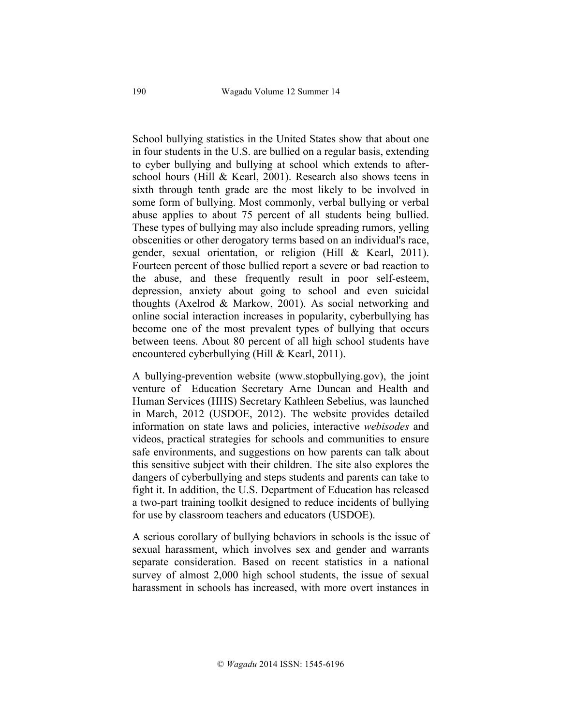School bullying statistics in the United States show that about one in four students in the U.S. are bullied on a regular basis, extending to cyber bullying and bullying at school which extends to afterschool hours (Hill & Kearl, 2001). Research also shows teens in sixth through tenth grade are the most likely to be involved in some form of bullying. Most commonly, verbal bullying or verbal abuse applies to about 75 percent of all students being bullied. These types of bullying may also include spreading rumors, yelling obscenities or other derogatory terms based on an individual's race, gender, sexual orientation, or religion (Hill & Kearl, 2011). Fourteen percent of those bullied report a severe or bad reaction to the abuse, and these frequently result in poor self-esteem, depression, anxiety about going to school and even suicidal thoughts (Axelrod & Markow, 2001). As social networking and online social interaction increases in popularity, cyberbullying has become one of the most prevalent types of bullying that occurs between teens. About 80 percent of all high school students have encountered cyberbullying (Hill & Kearl, 2011).

A bullying-prevention website (www.stopbullying.gov), the joint venture of Education Secretary Arne Duncan and Health and Human Services (HHS) Secretary Kathleen Sebelius, was launched in March, 2012 (USDOE, 2012). The website provides detailed information on state laws and policies, interactive *webisodes* and videos, practical strategies for schools and communities to ensure safe environments, and suggestions on how parents can talk about this sensitive subject with their children. The site also explores the dangers of cyberbullying and steps students and parents can take to fight it. In addition, the U.S. Department of Education has released a two-part training toolkit designed to reduce incidents of bullying for use by classroom teachers and educators (USDOE).

A serious corollary of bullying behaviors in schools is the issue of sexual harassment, which involves sex and gender and warrants separate consideration. Based on recent statistics in a national survey of almost 2,000 high school students, the issue of sexual harassment in schools has increased, with more overt instances in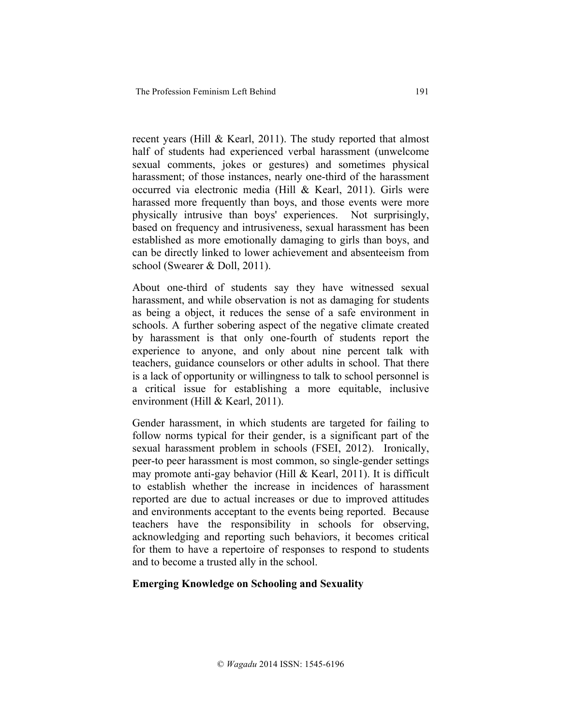recent years (Hill & Kearl, 2011). The study reported that almost half of students had experienced verbal harassment (unwelcome sexual comments, jokes or gestures) and sometimes physical harassment; of those instances, nearly one-third of the harassment occurred via electronic media (Hill & Kearl, 2011). Girls were harassed more frequently than boys, and those events were more physically intrusive than boys' experiences. Not surprisingly, based on frequency and intrusiveness, sexual harassment has been established as more emotionally damaging to girls than boys, and can be directly linked to lower achievement and absenteeism from school (Swearer & Doll, 2011).

About one-third of students say they have witnessed sexual harassment, and while observation is not as damaging for students as being a object, it reduces the sense of a safe environment in schools. A further sobering aspect of the negative climate created by harassment is that only one-fourth of students report the experience to anyone, and only about nine percent talk with teachers, guidance counselors or other adults in school. That there is a lack of opportunity or willingness to talk to school personnel is a critical issue for establishing a more equitable, inclusive environment (Hill & Kearl, 2011).

Gender harassment, in which students are targeted for failing to follow norms typical for their gender, is a significant part of the sexual harassment problem in schools (FSEI, 2012). Ironically, peer-to peer harassment is most common, so single-gender settings may promote anti-gay behavior (Hill & Kearl, 2011). It is difficult to establish whether the increase in incidences of harassment reported are due to actual increases or due to improved attitudes and environments acceptant to the events being reported. Because teachers have the responsibility in schools for observing, acknowledging and reporting such behaviors, it becomes critical for them to have a repertoire of responses to respond to students and to become a trusted ally in the school.

### **Emerging Knowledge on Schooling and Sexuality**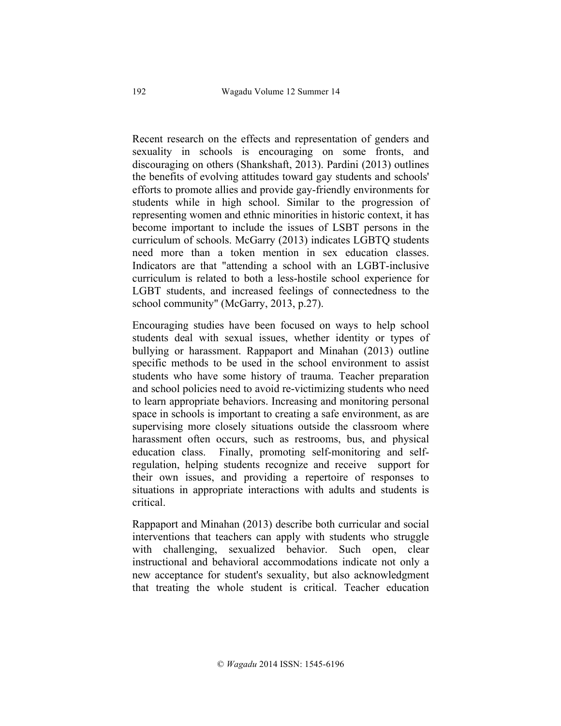Recent research on the effects and representation of genders and sexuality in schools is encouraging on some fronts, and discouraging on others (Shankshaft, 2013). Pardini (2013) outlines the benefits of evolving attitudes toward gay students and schools' efforts to promote allies and provide gay-friendly environments for students while in high school. Similar to the progression of representing women and ethnic minorities in historic context, it has become important to include the issues of LSBT persons in the curriculum of schools. McGarry (2013) indicates LGBTQ students need more than a token mention in sex education classes. Indicators are that "attending a school with an LGBT-inclusive curriculum is related to both a less-hostile school experience for LGBT students, and increased feelings of connectedness to the school community" (McGarry, 2013, p.27).

Encouraging studies have been focused on ways to help school students deal with sexual issues, whether identity or types of bullying or harassment. Rappaport and Minahan (2013) outline specific methods to be used in the school environment to assist students who have some history of trauma. Teacher preparation and school policies need to avoid re-victimizing students who need to learn appropriate behaviors. Increasing and monitoring personal space in schools is important to creating a safe environment, as are supervising more closely situations outside the classroom where harassment often occurs, such as restrooms, bus, and physical education class. Finally, promoting self-monitoring and selfregulation, helping students recognize and receive support for their own issues, and providing a repertoire of responses to situations in appropriate interactions with adults and students is critical.

Rappaport and Minahan (2013) describe both curricular and social interventions that teachers can apply with students who struggle with challenging, sexualized behavior. Such open, clear instructional and behavioral accommodations indicate not only a new acceptance for student's sexuality, but also acknowledgment that treating the whole student is critical. Teacher education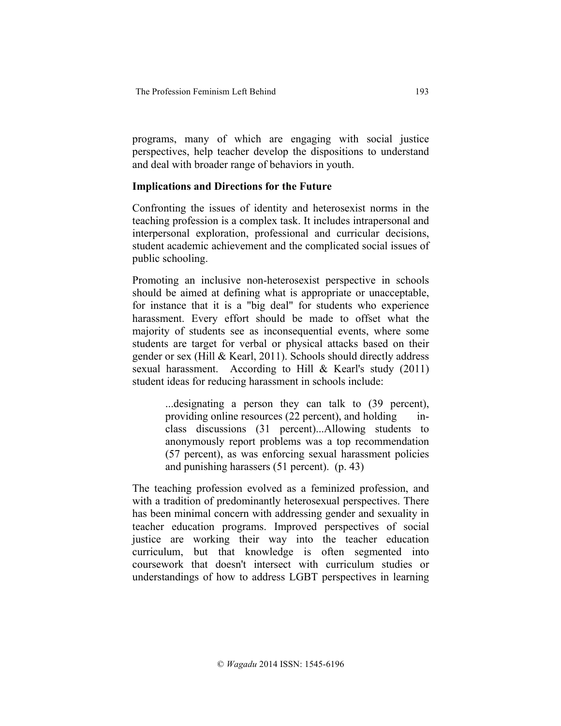programs, many of which are engaging with social justice perspectives, help teacher develop the dispositions to understand and deal with broader range of behaviors in youth.

### **Implications and Directions for the Future**

Confronting the issues of identity and heterosexist norms in the teaching profession is a complex task. It includes intrapersonal and interpersonal exploration, professional and curricular decisions, student academic achievement and the complicated social issues of public schooling.

Promoting an inclusive non-heterosexist perspective in schools should be aimed at defining what is appropriate or unacceptable, for instance that it is a "big deal" for students who experience harassment. Every effort should be made to offset what the majority of students see as inconsequential events, where some students are target for verbal or physical attacks based on their gender or sex (Hill & Kearl, 2011). Schools should directly address sexual harassment. According to Hill & Kearl's study (2011) student ideas for reducing harassment in schools include:

> ...designating a person they can talk to (39 percent), providing online resources (22 percent), and holding inclass discussions (31 percent)...Allowing students to anonymously report problems was a top recommendation (57 percent), as was enforcing sexual harassment policies and punishing harassers (51 percent). (p. 43)

The teaching profession evolved as a feminized profession, and with a tradition of predominantly heterosexual perspectives. There has been minimal concern with addressing gender and sexuality in teacher education programs. Improved perspectives of social justice are working their way into the teacher education curriculum, but that knowledge is often segmented into coursework that doesn't intersect with curriculum studies or understandings of how to address LGBT perspectives in learning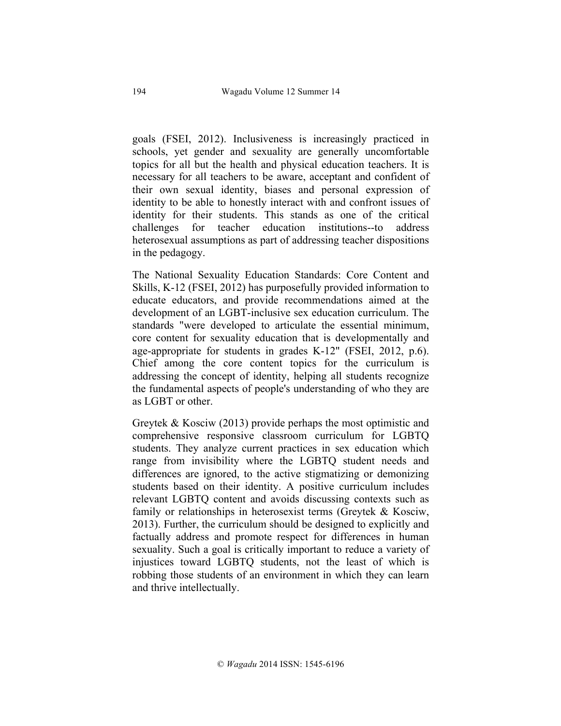goals (FSEI, 2012). Inclusiveness is increasingly practiced in schools, yet gender and sexuality are generally uncomfortable topics for all but the health and physical education teachers. It is necessary for all teachers to be aware, acceptant and confident of their own sexual identity, biases and personal expression of identity to be able to honestly interact with and confront issues of identity for their students. This stands as one of the critical challenges for teacher education institutions--to address heterosexual assumptions as part of addressing teacher dispositions in the pedagogy.

The National Sexuality Education Standards: Core Content and Skills, K-12 (FSEI, 2012) has purposefully provided information to educate educators, and provide recommendations aimed at the development of an LGBT-inclusive sex education curriculum. The standards "were developed to articulate the essential minimum, core content for sexuality education that is developmentally and age-appropriate for students in grades K-12" (FSEI, 2012, p.6). Chief among the core content topics for the curriculum is addressing the concept of identity, helping all students recognize the fundamental aspects of people's understanding of who they are as LGBT or other.

Greytek & Kosciw (2013) provide perhaps the most optimistic and comprehensive responsive classroom curriculum for LGBTQ students. They analyze current practices in sex education which range from invisibility where the LGBTQ student needs and differences are ignored, to the active stigmatizing or demonizing students based on their identity. A positive curriculum includes relevant LGBTQ content and avoids discussing contexts such as family or relationships in heterosexist terms (Greytek & Kosciw, 2013). Further, the curriculum should be designed to explicitly and factually address and promote respect for differences in human sexuality. Such a goal is critically important to reduce a variety of injustices toward LGBTQ students, not the least of which is robbing those students of an environment in which they can learn and thrive intellectually.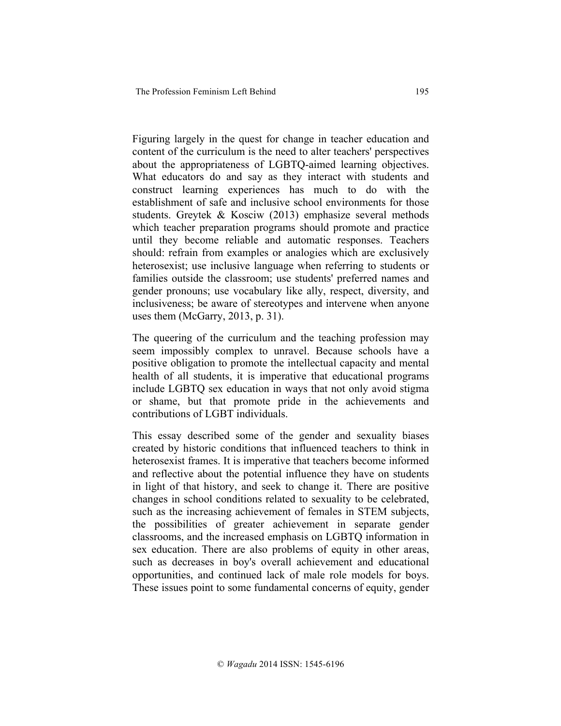Figuring largely in the quest for change in teacher education and content of the curriculum is the need to alter teachers' perspectives about the appropriateness of LGBTQ-aimed learning objectives. What educators do and say as they interact with students and construct learning experiences has much to do with the establishment of safe and inclusive school environments for those students. Greytek & Kosciw (2013) emphasize several methods which teacher preparation programs should promote and practice until they become reliable and automatic responses. Teachers should: refrain from examples or analogies which are exclusively heterosexist; use inclusive language when referring to students or families outside the classroom; use students' preferred names and gender pronouns; use vocabulary like ally, respect, diversity, and inclusiveness; be aware of stereotypes and intervene when anyone uses them (McGarry, 2013, p. 31).

The queering of the curriculum and the teaching profession may seem impossibly complex to unravel. Because schools have a positive obligation to promote the intellectual capacity and mental health of all students, it is imperative that educational programs include LGBTQ sex education in ways that not only avoid stigma or shame, but that promote pride in the achievements and contributions of LGBT individuals.

This essay described some of the gender and sexuality biases created by historic conditions that influenced teachers to think in heterosexist frames. It is imperative that teachers become informed and reflective about the potential influence they have on students in light of that history, and seek to change it. There are positive changes in school conditions related to sexuality to be celebrated, such as the increasing achievement of females in STEM subjects, the possibilities of greater achievement in separate gender classrooms, and the increased emphasis on LGBTQ information in sex education. There are also problems of equity in other areas, such as decreases in boy's overall achievement and educational opportunities, and continued lack of male role models for boys. These issues point to some fundamental concerns of equity, gender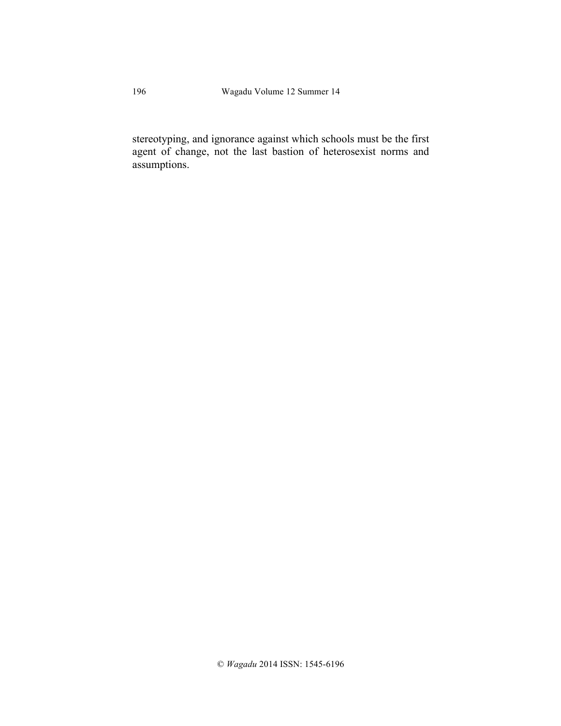stereotyping, and ignorance against which schools must be the first agent of change, not the last bastion of heterosexist norms and assumptions.

196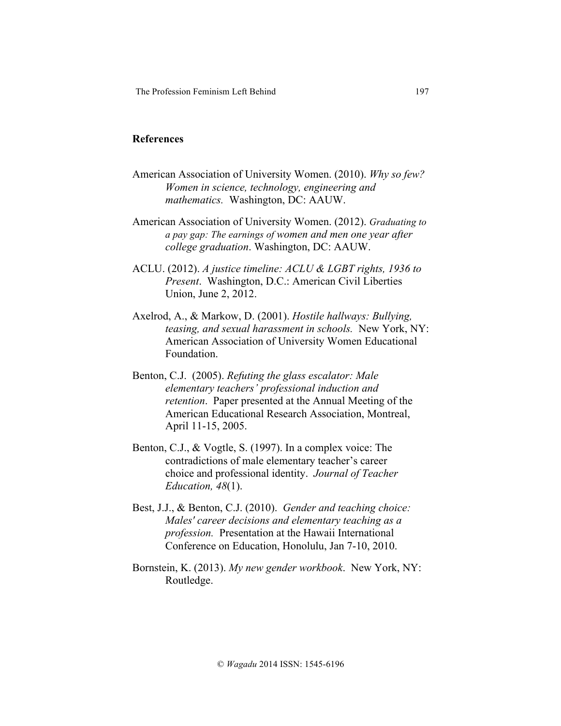#### **References**

- American Association of University Women. (2010). *Why so few? Women in science, technology, engineering and mathematics.* Washington, DC: AAUW.
- American Association of University Women. (2012). *Graduating to a pay gap: The earnings of women and men one year after college graduation*. Washington, DC: AAUW.
- ACLU. (2012). *A justice timeline: ACLU & LGBT rights, 1936 to Present*. Washington, D.C.: American Civil Liberties Union, June 2, 2012.
- Axelrod, A., & Markow, D. (2001). *Hostile hallways: Bullying, teasing, and sexual harassment in schools.* New York, NY: American Association of University Women Educational Foundation.
- Benton, C.J. (2005). *Refuting the glass escalator: Male elementary teachers' professional induction and retention*. Paper presented at the Annual Meeting of the American Educational Research Association, Montreal, April 11-15, 2005.
- Benton, C.J., & Vogtle, S. (1997). In a complex voice: The contradictions of male elementary teacher's career choice and professional identity. *Journal of Teacher Education, 48*(1).
- Best, J.J., & Benton, C.J. (2010). *Gender and teaching choice: Males' career decisions and elementary teaching as a profession.* Presentation at the Hawaii International Conference on Education, Honolulu, Jan 7-10, 2010.
- Bornstein, K. (2013). *My new gender workbook*. New York, NY: Routledge.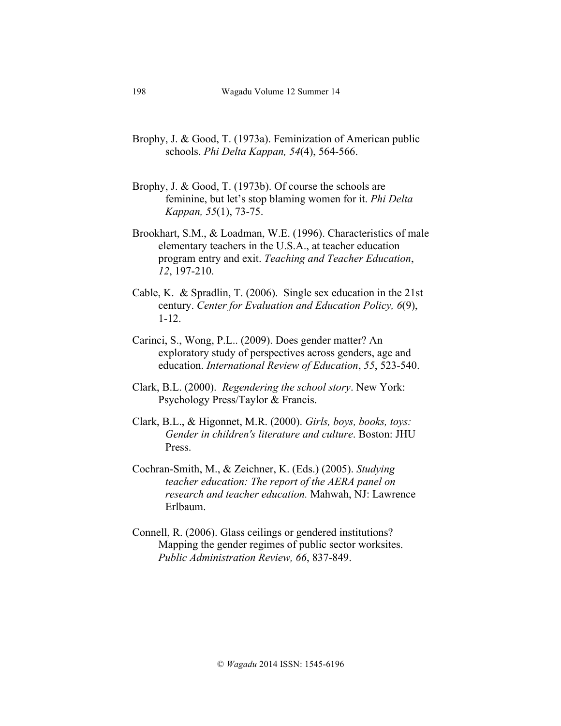- Brophy, J. & Good, T. (1973a). Feminization of American public schools. *Phi Delta Kappan, 54*(4), 564-566.
- Brophy, J. & Good, T. (1973b). Of course the schools are feminine, but let's stop blaming women for it. *Phi Delta Kappan, 55*(1), 73-75.
- Brookhart, S.M., & Loadman, W.E. (1996). Characteristics of male elementary teachers in the U.S.A., at teacher education program entry and exit. *Teaching and Teacher Education*, *12*, 197-210.
- Cable, K. & Spradlin, T. (2006). Single sex education in the 21st century. *Center for Evaluation and Education Policy, 6*(9), 1-12.
- Carinci, S., Wong, P.L.. (2009). Does gender matter? An exploratory study of perspectives across genders, age and education. *International Review of Education*, *55*, 523-540.
- Clark, B.L. (2000). *Regendering the school story*. New York: Psychology Press/Taylor & Francis.
- Clark, B.L., & Higonnet, M.R. (2000). *Girls, boys, books, toys: Gender in children's literature and culture*. Boston: JHU Press.
- Cochran-Smith, M., & Zeichner, K. (Eds.) (2005). *Studying teacher education: The report of the AERA panel on research and teacher education.* Mahwah, NJ: Lawrence Erlbaum.
- Connell, R. (2006). Glass ceilings or gendered institutions? Mapping the gender regimes of public sector worksites. *Public Administration Review, 66*, 837-849.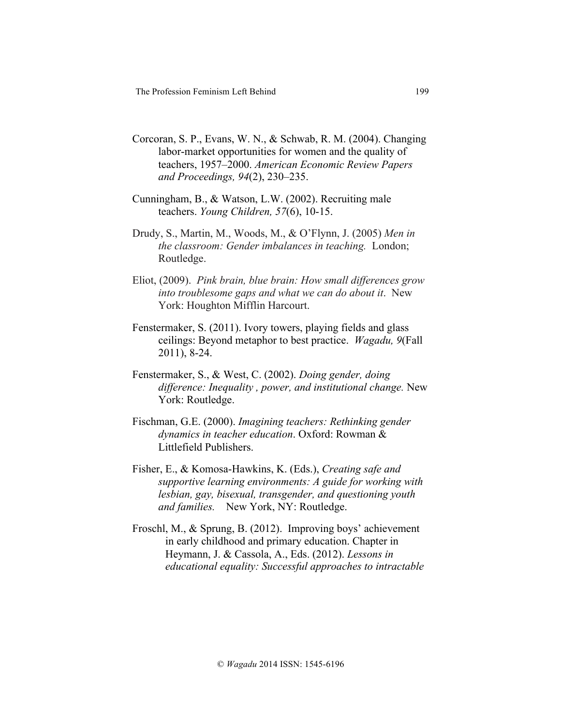- Corcoran, S. P., Evans, W. N., & Schwab, R. M. (2004). Changing labor-market opportunities for women and the quality of teachers, 1957–2000. *American Economic Review Papers and Proceedings, 94*(2), 230–235.
- Cunningham, B., & Watson, L.W. (2002). Recruiting male teachers. *Young Children, 57*(6), 10-15.
- Drudy, S., Martin, M., Woods, M., & O'Flynn, J. (2005) *Men in the classroom: Gender imbalances in teaching.* London; Routledge.
- Eliot, (2009). *Pink brain, blue brain: How small differences grow into troublesome gaps and what we can do about it*. New York: Houghton Mifflin Harcourt.
- Fenstermaker, S. (2011). Ivory towers, playing fields and glass ceilings: Beyond metaphor to best practice. *Wagadu, 9*(Fall 2011), 8-24.
- Fenstermaker, S., & West, C. (2002). *Doing gender, doing difference: Inequality , power, and institutional change.* New York: Routledge.
- Fischman, G.E. (2000). *Imagining teachers: Rethinking gender dynamics in teacher education*. Oxford: Rowman & Littlefield Publishers.
- Fisher, E., & Komosa-Hawkins, K. (Eds.), *Creating safe and supportive learning environments: A guide for working with lesbian, gay, bisexual, transgender, and questioning youth and families.* New York, NY: Routledge.
- Froschl, M., & Sprung, B. (2012). Improving boys' achievement in early childhood and primary education. Chapter in Heymann, J. & Cassola, A., Eds. (2012). *Lessons in educational equality: Successful approaches to intractable*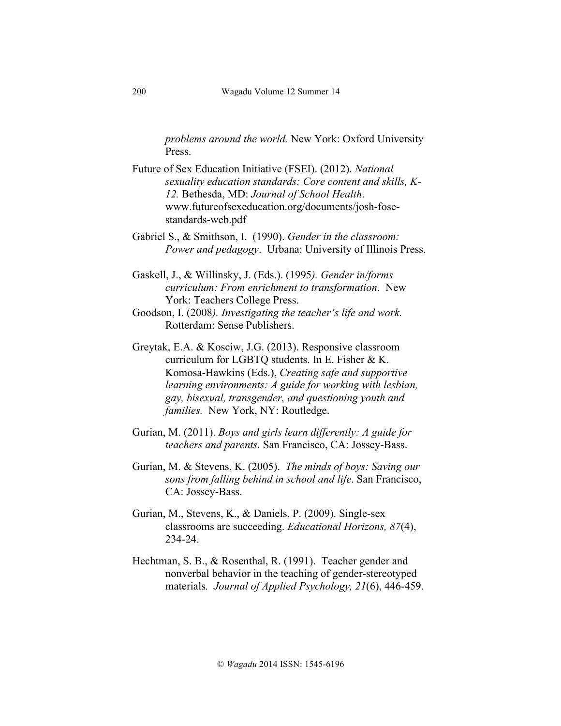*problems around the world.* New York: Oxford University Press.

Future of Sex Education Initiative (FSEI). (2012). *National sexuality education standards: Core content and skills, K-12.* Bethesda, MD: *Journal of School Health*. www.futureofsexeducation.org/documents/josh-fosestandards-web.pdf

Gabriel S., & Smithson, I. (1990). *Gender in the classroom: Power and pedagogy*. Urbana: University of Illinois Press.

Gaskell, J., & Willinsky, J. (Eds.). (1995*). Gender in/forms curriculum: From enrichment to transformation*. New York: Teachers College Press.

Greytak, E.A. & Kosciw, J.G. (2013). Responsive classroom curriculum for LGBTQ students. In E. Fisher & K. Komosa-Hawkins (Eds.), *Creating safe and supportive learning environments: A guide for working with lesbian, gay, bisexual, transgender, and questioning youth and families.* New York, NY: Routledge.

Gurian, M. (2011). *Boys and girls learn differently: A guide for teachers and parents.* San Francisco, CA: Jossey-Bass.

Gurian, M. & Stevens, K. (2005). *The minds of boys: Saving our sons from falling behind in school and life*. San Francisco, CA: Jossey-Bass.

- Gurian, M., Stevens, K., & Daniels, P. (2009). Single-sex classrooms are succeeding. *Educational Horizons, 87*(4), 234-24.
- Hechtman, S. B., & Rosenthal, R. (1991). Teacher gender and nonverbal behavior in the teaching of gender-stereotyped materials*. Journal of Applied Psychology, 21*(6), 446-459.

200

Goodson, I. (2008*). Investigating the teacher's life and work.* Rotterdam: Sense Publishers.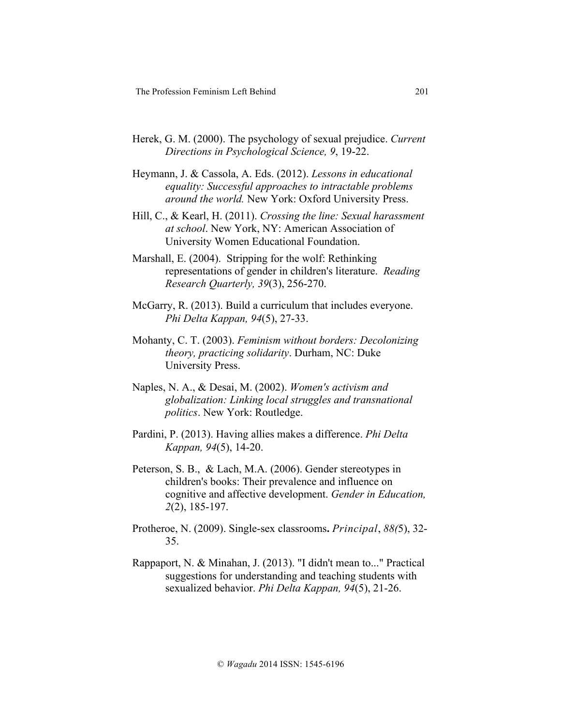- Herek, G. M. (2000). The psychology of sexual prejudice. *Current Directions in Psychological Science, 9*, 19-22.
- Heymann, J. & Cassola, A. Eds. (2012). *Lessons in educational equality: Successful approaches to intractable problems around the world.* New York: Oxford University Press.
- Hill, C., & Kearl, H. (2011). *Crossing the line: Sexual harassment at school*. New York, NY: American Association of University Women Educational Foundation.
- Marshall, E. (2004). Stripping for the wolf: Rethinking representations of gender in children's literature. *Reading Research Quarterly, 39*(3), 256-270.
- McGarry, R. (2013). Build a curriculum that includes everyone. *Phi Delta Kappan, 94*(5), 27-33.
- Mohanty, C. T. (2003). *Feminism without borders: Decolonizing theory, practicing solidarity*. Durham, NC: Duke University Press.
- Naples, N. A., & Desai, M. (2002). *Women's activism and globalization: Linking local struggles and transnational politics*. New York: Routledge.
- Pardini, P. (2013). Having allies makes a difference. *Phi Delta Kappan, 94*(5), 14-20.
- Peterson, S. B., & Lach, M.A. (2006). Gender stereotypes in children's books: Their prevalence and influence on cognitive and affective development. *Gender in Education, 2*(2), 185-197.
- Protheroe, N. (2009). Single-sex classrooms**.** *Principal*, *88(*5), 32- 35.
- Rappaport, N. & Minahan, J. (2013). "I didn't mean to..." Practical suggestions for understanding and teaching students with sexualized behavior. *Phi Delta Kappan, 94*(5), 21-26.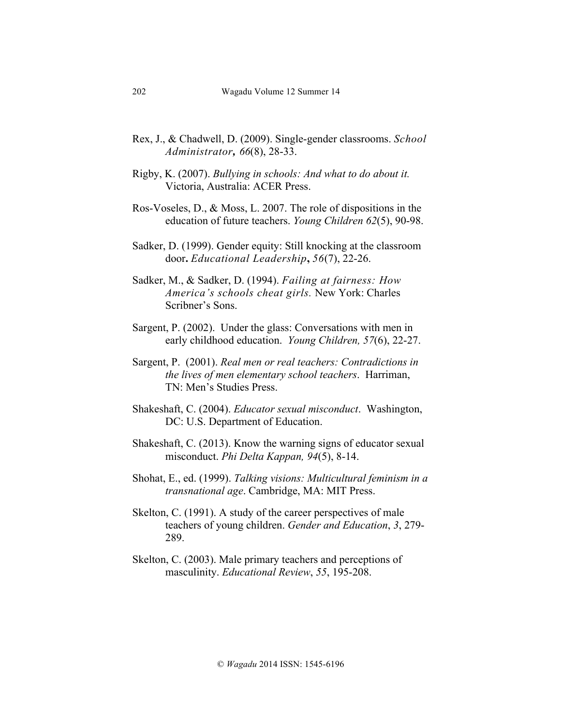- Rex, J., & Chadwell, D. (2009). Single-gender classrooms. *School Administrator, 66*(8), 28-33.
- Rigby, K. (2007). *Bullying in schools: And what to do about it.*  Victoria, Australia: ACER Press.
- Ros-Voseles, D., & Moss, L. 2007. The role of dispositions in the education of future teachers. *Young Children 62*(5), 90-98.
- Sadker, D. (1999). Gender equity: Still knocking at the classroom door**.** *Educational Leadership***,** *56*(7), 22-26.
- Sadker, M., & Sadker, D. (1994). *Failing at fairness: How America's schools cheat girls.* New York: Charles Scribner's Sons.
- Sargent, P. (2002). Under the glass: Conversations with men in early childhood education. *Young Children, 57*(6), 22-27.
- Sargent, P. (2001). *Real men or real teachers: Contradictions in the lives of men elementary school teachers*. Harriman, TN: Men's Studies Press.
- Shakeshaft, C. (2004). *Educator sexual misconduct*. Washington, DC: U.S. Department of Education.
- Shakeshaft, C. (2013). Know the warning signs of educator sexual misconduct. *Phi Delta Kappan, 94*(5), 8-14.
- Shohat, E., ed. (1999). *Talking visions: Multicultural feminism in a transnational age*. Cambridge, MA: MIT Press.
- Skelton, C. (1991). A study of the career perspectives of male teachers of young children. *Gender and Education*, *3*, 279- 289.
- Skelton, C. (2003). Male primary teachers and perceptions of masculinity. *Educational Review*, *55*, 195-208.